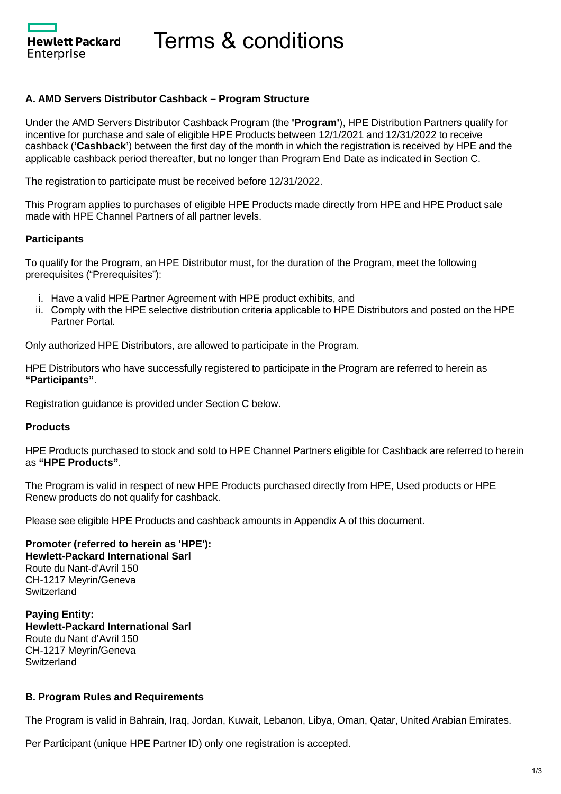Hewlett Packard Enterprise

Terms & conditions

### **A. AMD Servers Distributor Cashback – Program Structure**

Under the AMD Servers Distributor Cashback Program (the **'Program'**), HPE Distribution Partners qualify for incentive for purchase and sale of eligible HPE Products between 12/1/2021 and 12/31/2022 to receive cashback (**'Cashback'**) between the first day of the month in which the registration is received by HPE and the applicable cashback period thereafter, but no longer than Program End Date as indicated in Section C.

The registration to participate must be received before 12/31/2022.

This Program applies to purchases of eligible HPE Products made directly from HPE and HPE Product sale made with HPE Channel Partners of all partner levels.

### **Participants**

To qualify for the Program, an HPE Distributor must, for the duration of the Program, meet the following prerequisites ("Prerequisites"):

- i. Have a valid HPE Partner Agreement with HPE product exhibits, and
- ii. Comply with the HPE selective distribution criteria applicable to HPE Distributors and posted on the HPE Partner Portal.

Only authorized HPE Distributors, are allowed to participate in the Program.

HPE Distributors who have successfully registered to participate in the Program are referred to herein as **"Participants"**.

Registration guidance is provided under Section C below.

### **Products**

HPE Products purchased to stock and sold to HPE Channel Partners eligible for Cashback are referred to herein as **"HPE Products"**.

The Program is valid in respect of new HPE Products purchased directly from HPE, Used products or HPE Renew products do not qualify for cashback.

Please see eligible HPE Products and cashback amounts in Appendix A of this document.

#### **Promoter (referred to herein as 'HPE'): Hewlett-Packard International Sarl** Route du Nant-d'Avril 150 CH-1217 Meyrin/Geneva **Switzerland**

**Paying Entity: Hewlett-Packard International Sarl** Route du Nant d'Avril 150 CH-1217 Meyrin/Geneva **Switzerland** 

### **B. Program Rules and Requirements**

The Program is valid in Bahrain, Iraq, Jordan, Kuwait, Lebanon, Libya, Oman, Qatar, United Arabian Emirates.

Per Participant (unique HPE Partner ID) only one registration is accepted.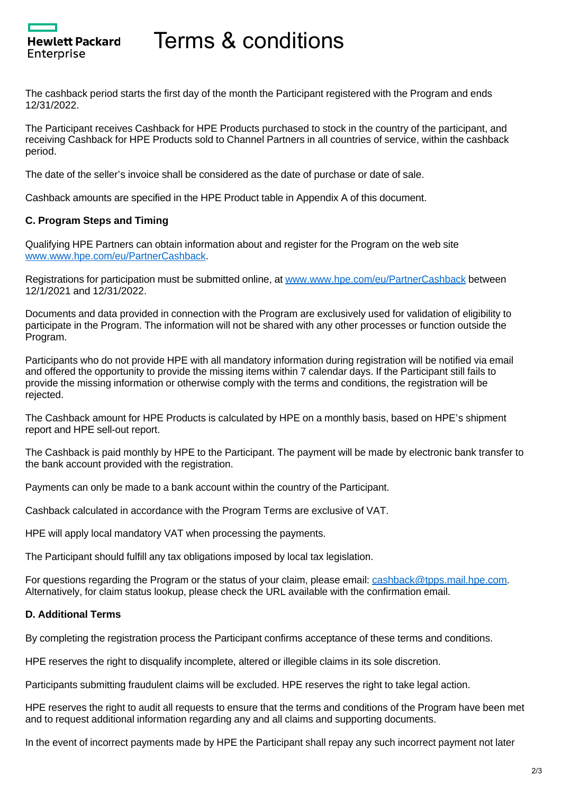# Terms & conditions

The cashback period starts the first day of the month the Participant registered with the Program and ends 12/31/2022.

The Participant receives Cashback for HPE Products purchased to stock in the country of the participant, and receiving Cashback for HPE Products sold to Channel Partners in all countries of service, within the cashback period.

The date of the seller's invoice shall be considered as the date of purchase or date of sale.

Cashback amounts are specified in the HPE Product table in Appendix A of this document.

# **C. Program Steps and Timing**

Hewlett Packard

Enterprise

Qualifying HPE Partners can obtain information about and register for the Program on the web site [www.www.hpe.com/eu/PartnerCashback](https://www.hpe.com/eu/PartnerCashback).

Registrations for participation must be submitted online, at [www.www.hpe.com/eu/PartnerCashback](https://www.hpe.com/eu/PartnerCashback) between 12/1/2021 and 12/31/2022.

Documents and data provided in connection with the Program are exclusively used for validation of eligibility to participate in the Program. The information will not be shared with any other processes or function outside the Program.

Participants who do not provide HPE with all mandatory information during registration will be notified via email and offered the opportunity to provide the missing items within 7 calendar days. If the Participant still fails to provide the missing information or otherwise comply with the terms and conditions, the registration will be rejected.

The Cashback amount for HPE Products is calculated by HPE on a monthly basis, based on HPE's shipment report and HPE sell-out report.

The Cashback is paid monthly by HPE to the Participant. The payment will be made by electronic bank transfer to the bank account provided with the registration.

Payments can only be made to a bank account within the country of the Participant.

Cashback calculated in accordance with the Program Terms are exclusive of VAT.

HPE will apply local mandatory VAT when processing the payments.

The Participant should fulfill any tax obligations imposed by local tax legislation.

For questions regarding the Program or the status of your claim, please email: [cashback@tpps.mail.hpe.com.](mailto:cashback@tpps.mail.hpe.com) Alternatively, for claim status lookup, please check the URL available with the confirmation email.

### **D. Additional Terms**

By completing the registration process the Participant confirms acceptance of these terms and conditions.

HPE reserves the right to disqualify incomplete, altered or illegible claims in its sole discretion.

Participants submitting fraudulent claims will be excluded. HPE reserves the right to take legal action.

HPE reserves the right to audit all requests to ensure that the terms and conditions of the Program have been met and to request additional information regarding any and all claims and supporting documents.

In the event of incorrect payments made by HPE the Participant shall repay any such incorrect payment not later